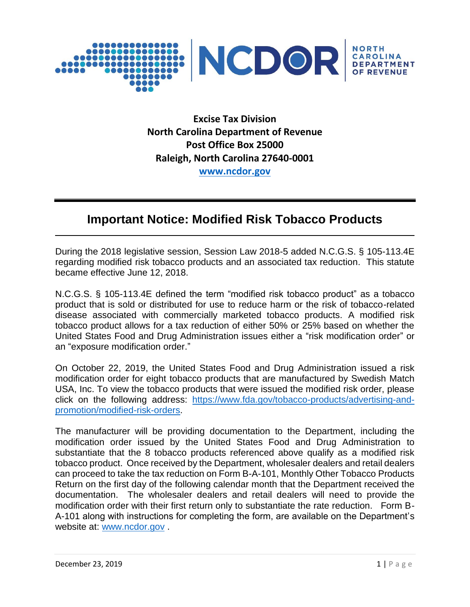

**Excise Tax Division North Carolina Department of Revenue Post Office Box 25000 Raleigh, North Carolina 27640-0001 [www.ncdor.gov](http://www.ncdor.gov/)**

## **Important Notice: Modified Risk Tobacco Products**

During the 2018 legislative session, Session Law 2018-5 added N.C.G.S. § 105-113.4E regarding modified risk tobacco products and an associated tax reduction. This statute became effective June 12, 2018.

N.C.G.S. § 105-113.4E defined the term "modified risk tobacco product" as a tobacco product that is sold or distributed for use to reduce harm or the risk of tobacco-related disease associated with commercially marketed tobacco products. A modified risk tobacco product allows for a tax reduction of either 50% or 25% based on whether the United States Food and Drug Administration issues either a "risk modification order" or an "exposure modification order."

On October 22, 2019, the United States Food and Drug Administration issued a risk modification order for eight tobacco products that are manufactured by Swedish Match USA, Inc. To view the tobacco products that were issued the modified risk order, please click on the following address: [https://www.fda.gov/tobacco-products/advertising-and](https://www.fda.gov/tobacco-products/advertising-and-promotion/modified-risk-orders)[promotion/modified-risk-orders.](https://www.fda.gov/tobacco-products/advertising-and-promotion/modified-risk-orders)

The manufacturer will be providing documentation to the Department, including the modification order issued by the United States Food and Drug Administration to substantiate that the 8 tobacco products referenced above qualify as a modified risk tobacco product. Once received by the Department, wholesaler dealers and retail dealers can proceed to take the tax reduction on Form B-A-101, Monthly Other Tobacco Products Return on the first day of the following calendar month that the Department received the documentation. The wholesaler dealers and retail dealers will need to provide the modification order with their first return only to substantiate the rate reduction. Form B-A-101 along with instructions for completing the form, are available on the Department's website at: [www.ncdor.gov](http://www.ncdor.gov/) .